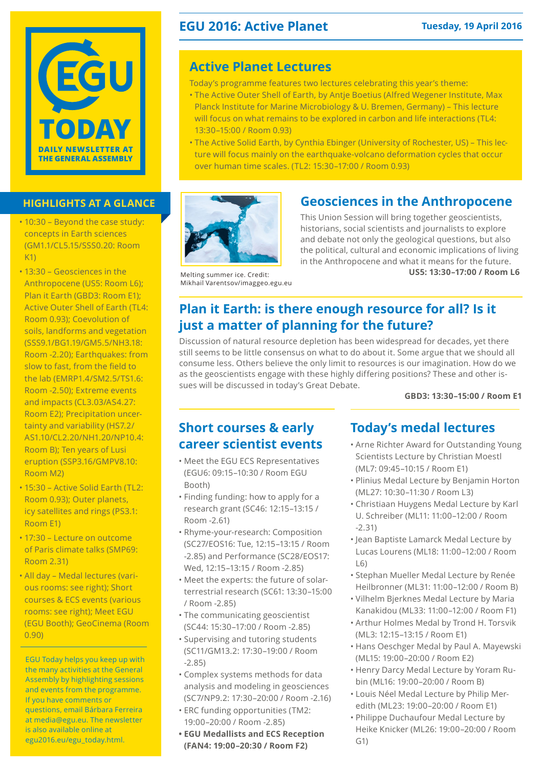

### **HIGHLIGHTS AT A GLANCE**

- 10:30 Beyond the case study: concepts in Earth sciences (GM1.1/CL5.15/SSS0.20: Room  $K1$
- 13:30 Geosciences in the Anthropocene (US5: Room L6); Plan it Earth (GBD3: Room E1); Active Outer Shell of Earth (TL4: Room 0.93); Coevolution of soils, landforms and vegetation (SSS9.1/BG1.19/GM5.5/NH3.18: Room -2.20); Earthquakes: from slow to fast, from the field to the lab (EMRP1.4/SM2.5/TS1.6: Room -2.50); Extreme events and impacts (CL3.03/AS4.27: Room E2); Precipitation uncertainty and variability (HS7.2/ AS1.10/CL2.20/NH1.20/NP10.4: Room B); Ten years of Lusi eruption (SSP3.16/GMPV8.10: Room M2)
- 15:30 Active Solid Earth (TL2: Room 0.93); Outer planets, icy satellites and rings (PS3.1: Room E1)
- 17:30 Lecture on outcome of Paris climate talks (SMP69: Room 2.31)
- All day Medal lectures (various rooms: see right); Short courses & ECS events (various rooms: see right); Meet EGU (EGU Booth); GeoCinema (Room 0.90)

EGU Today helps you keep up with the many activities at the General Assembly by highlighting sessions and events from the programme. If you have comments or questions, email Bárbara Ferreira at media@egu.eu. The newsletter is also available online at [egu2016.eu/egu\\_today.html.](http://egu2016.eu/egu_today.html)

### **EGU 2016: Active Planet Tuesday, 19 April 2016**

### **Active Planet Lectures**

- Today's programme features two lectures celebrating this year's theme:
- The Active Outer Shell of Earth, by Antje Boetius (Alfred Wegener Institute, Max Planck Institute for Marine Microbiology & U. Bremen, Germany) – This lecture will focus on what remains to be explored in carbon and life interactions (TL4: 13:30–15:00 / Room 0.93)
- The Active Solid Earth, by Cynthia Ebinger (University of Rochester, US) This lecture will focus mainly on the earthquake-volcano deformation cycles that occur over human time scales. (TL2: 15:30–17:00 / Room 0.93)



### **Geosciences in the Anthropocene**

This Union Session will bring together geoscientists, historians, social scientists and journalists to explore and debate not only the geological questions, but also the political, cultural and economic implications of living in the Anthropocene and what it means for the future. **US5: 13:30–17:00 / Room L6**

Melting summer ice. Credit: Mikhail Varentsov/imaggeo.egu.eu

### **Plan it Earth: is there enough resource for all? Is it just a matter of planning for the future?**

Discussion of natural resource depletion has been widespread for decades, yet there still seems to be little consensus on what to do about it. Some argue that we should all consume less. Others believe the only limit to resources is our imagination. How do we as the geoscientists engage with these highly differing positions? These and other issues will be discussed in today's Great Debate.

**GBD3: 13:30–15:00 / Room E1**

### **Short courses & early career scientist events**

- Meet the EGU ECS Representatives (EGU6: 09:15–10:30 / Room EGU Booth)
- Finding funding: how to apply for a research grant (SC46: 12:15–13:15 / Room -2.61)
- Rhyme-your-research: Composition (SC27/EOS16: Tue, 12:15–13:15 / Room -2.85) and Performance (SC28/EOS17: Wed, 12:15–13:15 / Room -2.85)
- Meet the experts: the future of solarterrestrial research (SC61: 13:30–15:00 / Room -2.85)
- The communicating geoscientist (SC44: 15:30–17:00 / Room -2.85)
- Supervising and tutoring students (SC11/GM13.2: 17:30–19:00 / Room -2.85)
- Complex systems methods for data analysis and modeling in geosciences (SC7/NP9.2: 17:30–20:00 / Room -2.16)
- ERC funding opportunities (TM2: 19:00–20:00 / Room -2.85)
- **• EGU Medallists and ECS Reception (FAN4: 19:00–20:30 / Room F2)**

### **Today's medal lectures**

- Arne Richter Award for Outstanding Young Scientists Lecture by Christian Moestl (ML7: 09:45–10:15 / Room E1)
- Plinius Medal Lecture by Benjamin Horton (ML27: 10:30–11:30 / Room L3)
- Christiaan Huygens Medal Lecture by Karl U. Schreiber (ML11: 11:00–12:00 / Room -2.31)
- Jean Baptiste Lamarck Medal Lecture by Lucas Lourens (ML18: 11:00–12:00 / Room  $|6)$
- Stephan Mueller Medal Lecture by Renée Heilbronner (ML31: 11:00–12:00 / Room B)
- Vilhelm Bjerknes Medal Lecture by Maria Kanakidou (ML33: 11:00–12:00 / Room F1)
- Arthur Holmes Medal by Trond H. Torsvik (ML3: 12:15–13:15 / Room E1)
- Hans Oeschger Medal by Paul A. Mayewski (ML15: 19:00–20:00 / Room E2)
- Henry Darcy Medal Lecture by Yoram Rubin (ML16: 19:00–20:00 / Room B)
- Louis Néel Medal Lecture by Philip Meredith (ML23: 19:00–20:00 / Room E1)
- Philippe Duchaufour Medal Lecture by Heike Knicker (ML26: 19:00–20:00 / Room G1)